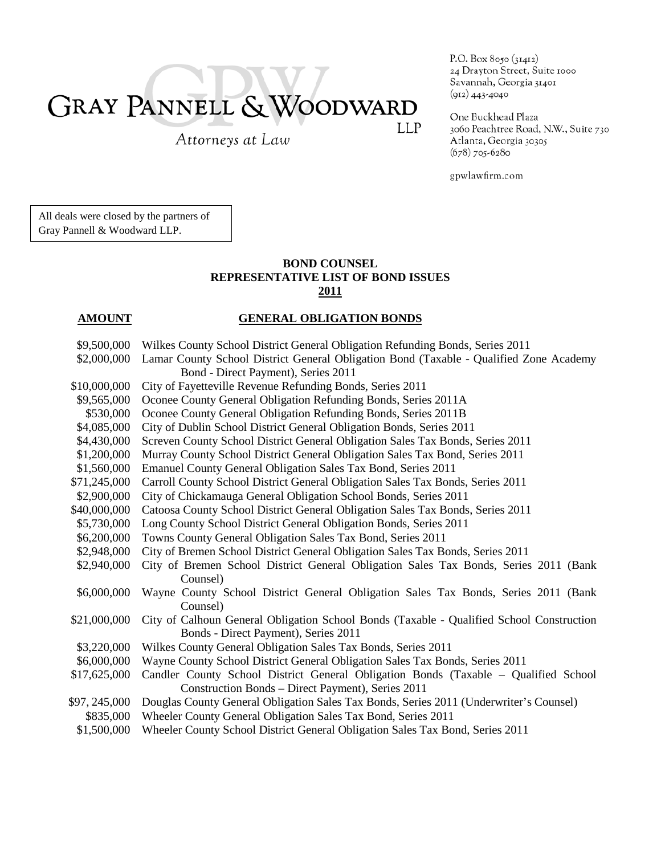# GRAY PANNELL & WOODWARD LLP

Attorneys at Law

P.O. Box 8050 (31412) 24 Drayton Street, Suite 1000 Savannah, Georgia 31401  $(912)$  443-4040

One Buckhead Plaza 3060 Peachtree Road, N.W., Suite 730 Atlanta, Georgia 30305  $(678)$  705-6280

gpwlawfirm.com

All deals were closed by the partners of Gray Pannell & Woodward LLP.

### **BOND COUNSEL REPRESENTATIVE LIST OF BOND ISSUES 2011**

### **AMOUNT GENERAL OBLIGATION BONDS**

| \$9,500,000   | Wilkes County School District General Obligation Refunding Bonds, Series 2011            |
|---------------|------------------------------------------------------------------------------------------|
| \$2,000,000   | Lamar County School District General Obligation Bond (Taxable - Qualified Zone Academy   |
|               | Bond - Direct Payment), Series 2011                                                      |
| \$10,000,000  | City of Fayetteville Revenue Refunding Bonds, Series 2011                                |
| \$9,565,000   | Oconee County General Obligation Refunding Bonds, Series 2011A                           |
| \$530,000     | Oconee County General Obligation Refunding Bonds, Series 2011B                           |
| \$4,085,000   | City of Dublin School District General Obligation Bonds, Series 2011                     |
| \$4,430,000   | Screven County School District General Obligation Sales Tax Bonds, Series 2011           |
| \$1,200,000   | Murray County School District General Obligation Sales Tax Bond, Series 2011             |
| \$1,560,000   | Emanuel County General Obligation Sales Tax Bond, Series 2011                            |
| \$71,245,000  | Carroll County School District General Obligation Sales Tax Bonds, Series 2011           |
| \$2,900,000   | City of Chickamauga General Obligation School Bonds, Series 2011                         |
| \$40,000,000  | Catoosa County School District General Obligation Sales Tax Bonds, Series 2011           |
| \$5,730,000   | Long County School District General Obligation Bonds, Series 2011                        |
| \$6,200,000   | Towns County General Obligation Sales Tax Bond, Series 2011                              |
| \$2,948,000   | City of Bremen School District General Obligation Sales Tax Bonds, Series 2011           |
| \$2,940,000   | City of Bremen School District General Obligation Sales Tax Bonds, Series 2011 (Bank     |
|               | Counsel)                                                                                 |
| \$6,000,000   | Wayne County School District General Obligation Sales Tax Bonds, Series 2011 (Bank       |
|               | Counsel)                                                                                 |
| \$21,000,000  | City of Calhoun General Obligation School Bonds (Taxable - Qualified School Construction |
|               | Bonds - Direct Payment), Series 2011                                                     |
| \$3,220,000   | Wilkes County General Obligation Sales Tax Bonds, Series 2011                            |
| \$6,000,000   | Wayne County School District General Obligation Sales Tax Bonds, Series 2011             |
| \$17,625,000  | Candler County School District General Obligation Bonds (Taxable - Qualified School      |
|               | Construction Bonds – Direct Payment), Series 2011                                        |
| \$97, 245,000 | Douglas County General Obligation Sales Tax Bonds, Series 2011 (Underwriter's Counsel)   |
| \$835,000     | Wheeler County General Obligation Sales Tax Bond, Series 2011                            |
| \$1,500,000   | Wheeler County School District General Obligation Sales Tax Bond, Series 2011            |
|               |                                                                                          |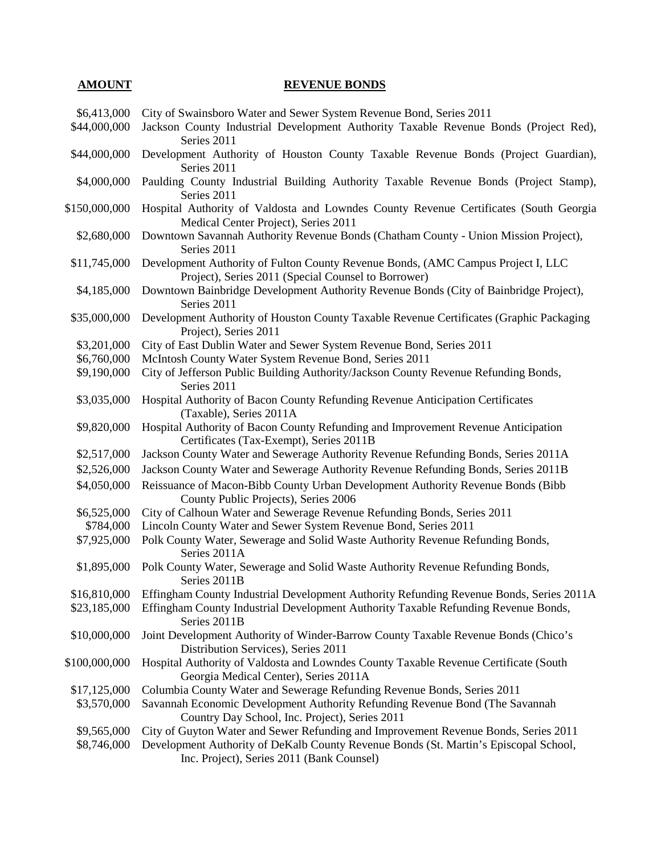#### **AMOUNT** REVENUE BONDS

- \$6,413,000 City of Swainsboro Water and Sewer System Revenue Bond, Series 2011
- \$44,000,000 Jackson County Industrial Development Authority Taxable Revenue Bonds (Project Red), Series 2011
- \$44,000,000 Development Authority of Houston County Taxable Revenue Bonds (Project Guardian), Series 2011
- \$4,000,000 Paulding County Industrial Building Authority Taxable Revenue Bonds (Project Stamp), Series 2011
- \$150,000,000 Hospital Authority of Valdosta and Lowndes County Revenue Certificates (South Georgia Medical Center Project), Series 2011
- \$2,680,000 Downtown Savannah Authority Revenue Bonds (Chatham County Union Mission Project), Series 2011
- \$11,745,000 Development Authority of Fulton County Revenue Bonds, (AMC Campus Project I, LLC Project), Series 2011 (Special Counsel to Borrower)
- \$4,185,000 Downtown Bainbridge Development Authority Revenue Bonds (City of Bainbridge Project), Series 2011
- \$35,000,000 Development Authority of Houston County Taxable Revenue Certificates (Graphic Packaging Project), Series 2011
- \$3,201,000 City of East Dublin Water and Sewer System Revenue Bond, Series 2011
- \$6,760,000 McIntosh County Water System Revenue Bond, Series 2011
- \$9,190,000 City of Jefferson Public Building Authority/Jackson County Revenue Refunding Bonds, Series 2011
- \$3,035,000 Hospital Authority of Bacon County Refunding Revenue Anticipation Certificates (Taxable), Series 2011A
- \$9,820,000 Hospital Authority of Bacon County Refunding and Improvement Revenue Anticipation Certificates (Tax-Exempt), Series 2011B
- \$2,517,000 Jackson County Water and Sewerage Authority Revenue Refunding Bonds, Series 2011A
- \$2,526,000 Jackson County Water and Sewerage Authority Revenue Refunding Bonds, Series 2011B
- \$4,050,000 Reissuance of Macon-Bibb County Urban Development Authority Revenue Bonds (Bibb County Public Projects), Series 2006
- \$6,525,000 City of Calhoun Water and Sewerage Revenue Refunding Bonds, Series 2011
- \$784,000 Lincoln County Water and Sewer System Revenue Bond, Series 2011
- \$7,925,000 Polk County Water, Sewerage and Solid Waste Authority Revenue Refunding Bonds, Series 2011A
- \$1,895,000 Polk County Water, Sewerage and Solid Waste Authority Revenue Refunding Bonds, Series 2011B
- \$16,810,000 Effingham County Industrial Development Authority Refunding Revenue Bonds, Series 2011A
- \$23,185,000 Effingham County Industrial Development Authority Taxable Refunding Revenue Bonds, Series 2011B
- \$10,000,000 Joint Development Authority of Winder-Barrow County Taxable Revenue Bonds (Chico's Distribution Services), Series 2011
- \$100,000,000 Hospital Authority of Valdosta and Lowndes County Taxable Revenue Certificate (South Georgia Medical Center), Series 2011A
- \$17,125,000 Columbia County Water and Sewerage Refunding Revenue Bonds, Series 2011
- \$3,570,000 Savannah Economic Development Authority Refunding Revenue Bond (The Savannah Country Day School, Inc. Project), Series 2011
- \$9,565,000 City of Guyton Water and Sewer Refunding and Improvement Revenue Bonds, Series 2011
- \$8,746,000 Development Authority of DeKalb County Revenue Bonds (St. Martin's Episcopal School, Inc. Project), Series 2011 (Bank Counsel)